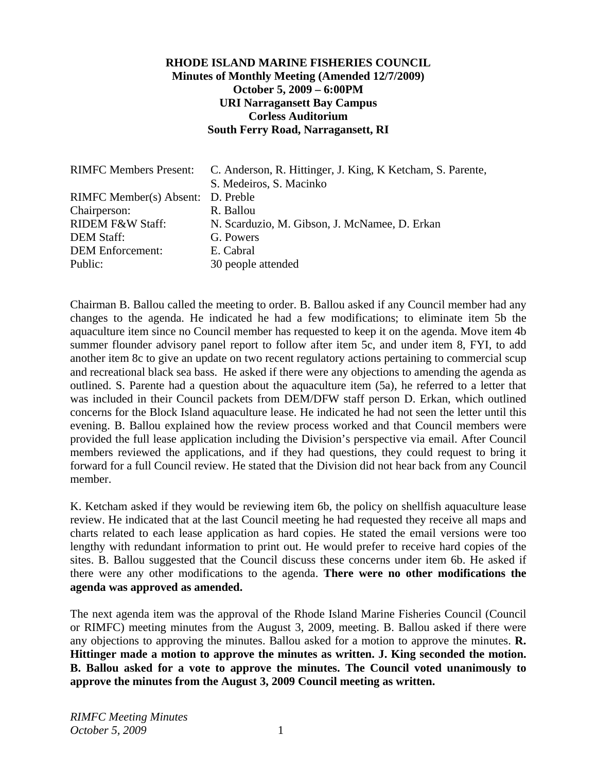#### **RHODE ISLAND MARINE FISHERIES COUNCIL Minutes of Monthly Meeting (Amended 12/7/2009) October 5, 2009 – 6:00PM URI Narragansett Bay Campus Corless Auditorium South Ferry Road, Narragansett, RI**

|                                   | RIMFC Members Present: C. Anderson, R. Hittinger, J. King, K Ketcham, S. Parente, |
|-----------------------------------|-----------------------------------------------------------------------------------|
|                                   | S. Medeiros, S. Macinko                                                           |
| RIMFC Member(s) Absent: D. Preble |                                                                                   |
| Chairperson:                      | R. Ballou                                                                         |
| <b>RIDEM F&amp;W Staff:</b>       | N. Scarduzio, M. Gibson, J. McNamee, D. Erkan                                     |
| <b>DEM Staff:</b>                 | G. Powers                                                                         |
| <b>DEM Enforcement:</b>           | E. Cabral                                                                         |
| Public:                           | 30 people attended                                                                |

Chairman B. Ballou called the meeting to order. B. Ballou asked if any Council member had any changes to the agenda. He indicated he had a few modifications; to eliminate item 5b the aquaculture item since no Council member has requested to keep it on the agenda. Move item 4b summer flounder advisory panel report to follow after item 5c, and under item 8, FYI, to add another item 8c to give an update on two recent regulatory actions pertaining to commercial scup and recreational black sea bass. He asked if there were any objections to amending the agenda as outlined. S. Parente had a question about the aquaculture item (5a), he referred to a letter that was included in their Council packets from DEM/DFW staff person D. Erkan, which outlined concerns for the Block Island aquaculture lease. He indicated he had not seen the letter until this evening. B. Ballou explained how the review process worked and that Council members were provided the full lease application including the Division's perspective via email. After Council members reviewed the applications, and if they had questions, they could request to bring it forward for a full Council review. He stated that the Division did not hear back from any Council member.

K. Ketcham asked if they would be reviewing item 6b, the policy on shellfish aquaculture lease review. He indicated that at the last Council meeting he had requested they receive all maps and charts related to each lease application as hard copies. He stated the email versions were too lengthy with redundant information to print out. He would prefer to receive hard copies of the sites. B. Ballou suggested that the Council discuss these concerns under item 6b. He asked if there were any other modifications to the agenda. **There were no other modifications the agenda was approved as amended.** 

The next agenda item was the approval of the Rhode Island Marine Fisheries Council (Council or RIMFC) meeting minutes from the August 3, 2009, meeting. B. Ballou asked if there were any objections to approving the minutes. Ballou asked for a motion to approve the minutes. **R. Hittinger made a motion to approve the minutes as written. J. King seconded the motion. B. Ballou asked for a vote to approve the minutes. The Council voted unanimously to approve the minutes from the August 3, 2009 Council meeting as written.**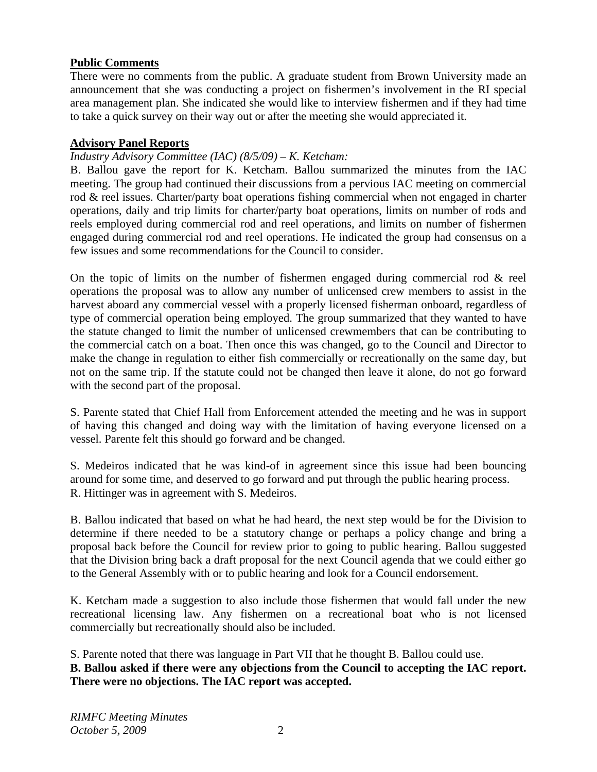#### **Public Comments**

There were no comments from the public. A graduate student from Brown University made an announcement that she was conducting a project on fishermen's involvement in the RI special area management plan. She indicated she would like to interview fishermen and if they had time to take a quick survey on their way out or after the meeting she would appreciated it.

#### **Advisory Panel Reports**

### *Industry Advisory Committee (IAC) (8/5/09) – K. Ketcham:*

B. Ballou gave the report for K. Ketcham. Ballou summarized the minutes from the IAC meeting. The group had continued their discussions from a pervious IAC meeting on commercial rod & reel issues. Charter/party boat operations fishing commercial when not engaged in charter operations, daily and trip limits for charter/party boat operations, limits on number of rods and reels employed during commercial rod and reel operations, and limits on number of fishermen engaged during commercial rod and reel operations. He indicated the group had consensus on a few issues and some recommendations for the Council to consider.

On the topic of limits on the number of fishermen engaged during commercial rod  $\&$  reel operations the proposal was to allow any number of unlicensed crew members to assist in the harvest aboard any commercial vessel with a properly licensed fisherman onboard, regardless of type of commercial operation being employed. The group summarized that they wanted to have the statute changed to limit the number of unlicensed crewmembers that can be contributing to the commercial catch on a boat. Then once this was changed, go to the Council and Director to make the change in regulation to either fish commercially or recreationally on the same day, but not on the same trip. If the statute could not be changed then leave it alone, do not go forward with the second part of the proposal.

S. Parente stated that Chief Hall from Enforcement attended the meeting and he was in support of having this changed and doing way with the limitation of having everyone licensed on a vessel. Parente felt this should go forward and be changed.

S. Medeiros indicated that he was kind-of in agreement since this issue had been bouncing around for some time, and deserved to go forward and put through the public hearing process. R. Hittinger was in agreement with S. Medeiros.

B. Ballou indicated that based on what he had heard, the next step would be for the Division to determine if there needed to be a statutory change or perhaps a policy change and bring a proposal back before the Council for review prior to going to public hearing. Ballou suggested that the Division bring back a draft proposal for the next Council agenda that we could either go to the General Assembly with or to public hearing and look for a Council endorsement.

K. Ketcham made a suggestion to also include those fishermen that would fall under the new recreational licensing law. Any fishermen on a recreational boat who is not licensed commercially but recreationally should also be included.

S. Parente noted that there was language in Part VII that he thought B. Ballou could use. **B. Ballou asked if there were any objections from the Council to accepting the IAC report. There were no objections. The IAC report was accepted.**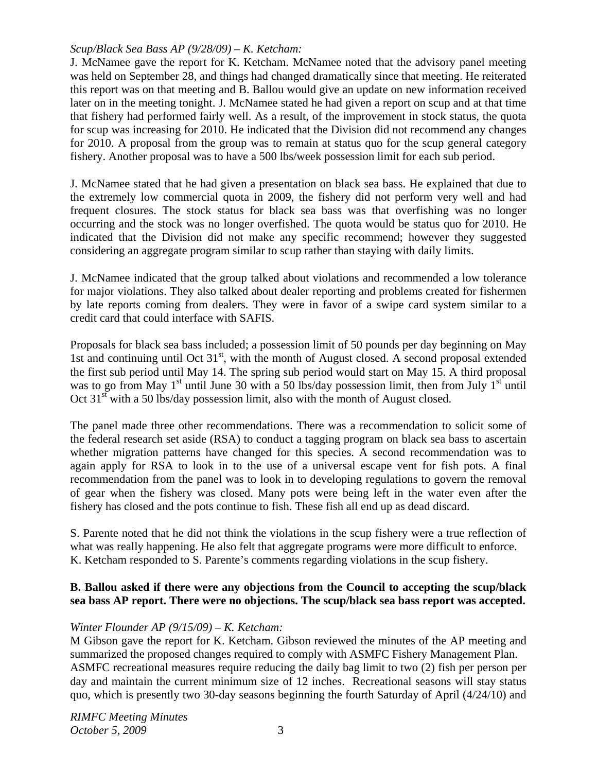### *Scup/Black Sea Bass AP (9/28/09) – K. Ketcham:*

J. McNamee gave the report for K. Ketcham. McNamee noted that the advisory panel meeting was held on September 28, and things had changed dramatically since that meeting. He reiterated this report was on that meeting and B. Ballou would give an update on new information received later on in the meeting tonight. J. McNamee stated he had given a report on scup and at that time that fishery had performed fairly well. As a result, of the improvement in stock status, the quota for scup was increasing for 2010. He indicated that the Division did not recommend any changes for 2010. A proposal from the group was to remain at status quo for the scup general category fishery. Another proposal was to have a 500 lbs/week possession limit for each sub period.

J. McNamee stated that he had given a presentation on black sea bass. He explained that due to the extremely low commercial quota in 2009, the fishery did not perform very well and had frequent closures. The stock status for black sea bass was that overfishing was no longer occurring and the stock was no longer overfished. The quota would be status quo for 2010. He indicated that the Division did not make any specific recommend; however they suggested considering an aggregate program similar to scup rather than staying with daily limits.

J. McNamee indicated that the group talked about violations and recommended a low tolerance for major violations. They also talked about dealer reporting and problems created for fishermen by late reports coming from dealers. They were in favor of a swipe card system similar to a credit card that could interface with SAFIS.

Proposals for black sea bass included; a possession limit of 50 pounds per day beginning on May 1st and continuing until Oct  $31<sup>st</sup>$ , with the month of August closed. A second proposal extended the first sub period until May 14. The spring sub period would start on May 15. A third proposal was to go from May  $1<sup>st</sup>$  until June 30 with a 50 lbs/day possession limit, then from July  $1<sup>st</sup>$  until Oct 31<sup>st</sup> with a 50 lbs/day possession limit, also with the month of August closed.

The panel made three other recommendations. There was a recommendation to solicit some of the federal research set aside (RSA) to conduct a tagging program on black sea bass to ascertain whether migration patterns have changed for this species. A second recommendation was to again apply for RSA to look in to the use of a universal escape vent for fish pots. A final recommendation from the panel was to look in to developing regulations to govern the removal of gear when the fishery was closed. Many pots were being left in the water even after the fishery has closed and the pots continue to fish. These fish all end up as dead discard.

S. Parente noted that he did not think the violations in the scup fishery were a true reflection of what was really happening. He also felt that aggregate programs were more difficult to enforce. K. Ketcham responded to S. Parente's comments regarding violations in the scup fishery.

### **B. Ballou asked if there were any objections from the Council to accepting the scup/black sea bass AP report. There were no objections. The scup/black sea bass report was accepted.**

## *Winter Flounder AP (9/15/09) – K. Ketcham:*

M Gibson gave the report for K. Ketcham. Gibson reviewed the minutes of the AP meeting and summarized the proposed changes required to comply with ASMFC Fishery Management Plan. ASMFC recreational measures require reducing the daily bag limit to two (2) fish per person per day and maintain the current minimum size of 12 inches. Recreational seasons will stay status quo, which is presently two 30-day seasons beginning the fourth Saturday of April (4/24/10) and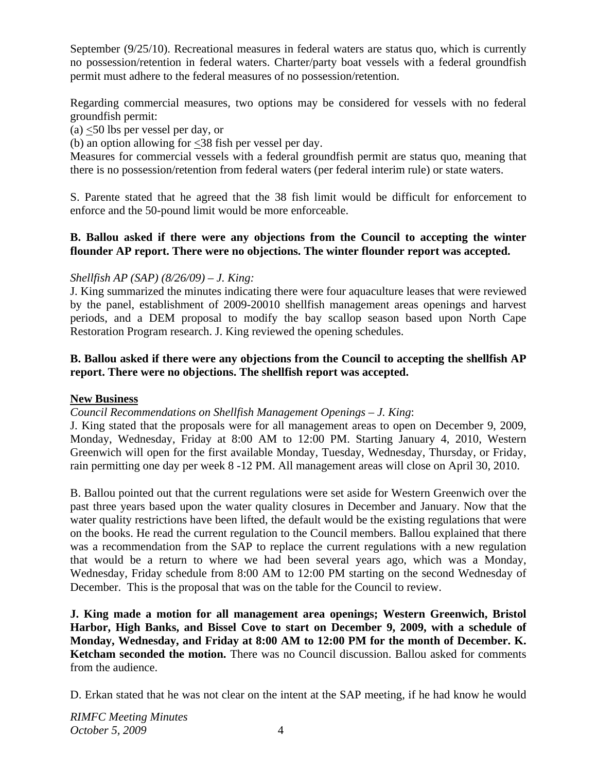September (9/25/10). Recreational measures in federal waters are status quo, which is currently no possession/retention in federal waters. Charter/party boat vessels with a federal groundfish permit must adhere to the federal measures of no possession/retention.

Regarding commercial measures, two options may be considered for vessels with no federal groundfish permit:

(a) <50 lbs per vessel per day, or

(b) an option allowing for <38 fish per vessel per day.

Measures for commercial vessels with a federal groundfish permit are status quo, meaning that there is no possession/retention from federal waters (per federal interim rule) or state waters.

S. Parente stated that he agreed that the 38 fish limit would be difficult for enforcement to enforce and the 50-pound limit would be more enforceable.

#### **B. Ballou asked if there were any objections from the Council to accepting the winter flounder AP report. There were no objections. The winter flounder report was accepted.**

### *Shellfish AP (SAP) (8/26/09) – J. King:*

J. King summarized the minutes indicating there were four aquaculture leases that were reviewed by the panel, establishment of 2009-20010 shellfish management areas openings and harvest periods, and a DEM proposal to modify the bay scallop season based upon North Cape Restoration Program research. J. King reviewed the opening schedules.

### **B. Ballou asked if there were any objections from the Council to accepting the shellfish AP report. There were no objections. The shellfish report was accepted.**

### **New Business**

### *Council Recommendations on Shellfish Management Openings – J. King*:

J. King stated that the proposals were for all management areas to open on December 9, 2009, Monday, Wednesday, Friday at 8:00 AM to 12:00 PM. Starting January 4, 2010, Western Greenwich will open for the first available Monday, Tuesday, Wednesday, Thursday, or Friday, rain permitting one day per week 8 -12 PM. All management areas will close on April 30, 2010.

B. Ballou pointed out that the current regulations were set aside for Western Greenwich over the past three years based upon the water quality closures in December and January. Now that the water quality restrictions have been lifted, the default would be the existing regulations that were on the books. He read the current regulation to the Council members. Ballou explained that there was a recommendation from the SAP to replace the current regulations with a new regulation that would be a return to where we had been several years ago, which was a Monday, Wednesday, Friday schedule from 8:00 AM to 12:00 PM starting on the second Wednesday of December. This is the proposal that was on the table for the Council to review.

**J. King made a motion for all management area openings; Western Greenwich, Bristol Harbor, High Banks, and Bissel Cove to start on December 9, 2009, with a schedule of Monday, Wednesday, and Friday at 8:00 AM to 12:00 PM for the month of December. K. Ketcham seconded the motion.** There was no Council discussion. Ballou asked for comments from the audience.

D. Erkan stated that he was not clear on the intent at the SAP meeting, if he had know he would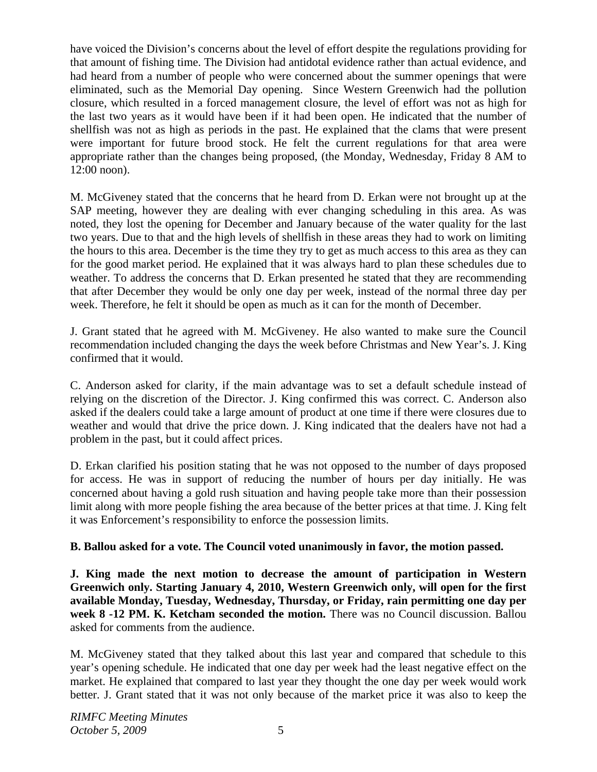have voiced the Division's concerns about the level of effort despite the regulations providing for that amount of fishing time. The Division had antidotal evidence rather than actual evidence, and had heard from a number of people who were concerned about the summer openings that were eliminated, such as the Memorial Day opening. Since Western Greenwich had the pollution closure, which resulted in a forced management closure, the level of effort was not as high for the last two years as it would have been if it had been open. He indicated that the number of shellfish was not as high as periods in the past. He explained that the clams that were present were important for future brood stock. He felt the current regulations for that area were appropriate rather than the changes being proposed, (the Monday, Wednesday, Friday 8 AM to 12:00 noon).

M. McGiveney stated that the concerns that he heard from D. Erkan were not brought up at the SAP meeting, however they are dealing with ever changing scheduling in this area. As was noted, they lost the opening for December and January because of the water quality for the last two years. Due to that and the high levels of shellfish in these areas they had to work on limiting the hours to this area. December is the time they try to get as much access to this area as they can for the good market period. He explained that it was always hard to plan these schedules due to weather. To address the concerns that D. Erkan presented he stated that they are recommending that after December they would be only one day per week, instead of the normal three day per week. Therefore, he felt it should be open as much as it can for the month of December.

J. Grant stated that he agreed with M. McGiveney. He also wanted to make sure the Council recommendation included changing the days the week before Christmas and New Year's. J. King confirmed that it would.

C. Anderson asked for clarity, if the main advantage was to set a default schedule instead of relying on the discretion of the Director. J. King confirmed this was correct. C. Anderson also asked if the dealers could take a large amount of product at one time if there were closures due to weather and would that drive the price down. J. King indicated that the dealers have not had a problem in the past, but it could affect prices.

D. Erkan clarified his position stating that he was not opposed to the number of days proposed for access. He was in support of reducing the number of hours per day initially. He was concerned about having a gold rush situation and having people take more than their possession limit along with more people fishing the area because of the better prices at that time. J. King felt it was Enforcement's responsibility to enforce the possession limits.

### **B. Ballou asked for a vote. The Council voted unanimously in favor, the motion passed.**

**J. King made the next motion to decrease the amount of participation in Western Greenwich only. Starting January 4, 2010, Western Greenwich only, will open for the first available Monday, Tuesday, Wednesday, Thursday, or Friday, rain permitting one day per week 8 -12 PM. K. Ketcham seconded the motion.** There was no Council discussion. Ballou asked for comments from the audience.

M. McGiveney stated that they talked about this last year and compared that schedule to this year's opening schedule. He indicated that one day per week had the least negative effect on the market. He explained that compared to last year they thought the one day per week would work better. J. Grant stated that it was not only because of the market price it was also to keep the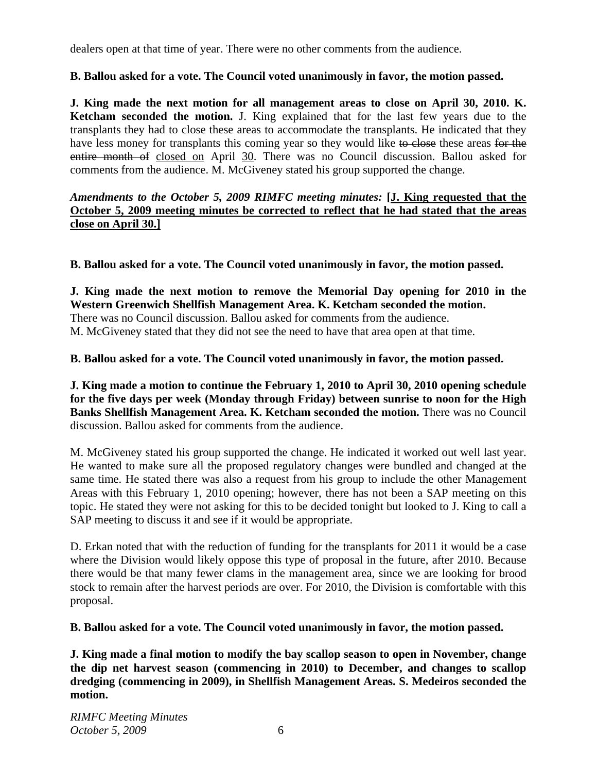dealers open at that time of year. There were no other comments from the audience.

## **B. Ballou asked for a vote. The Council voted unanimously in favor, the motion passed.**

**J. King made the next motion for all management areas to close on April 30, 2010. K. Ketcham seconded the motion.** J. King explained that for the last few years due to the transplants they had to close these areas to accommodate the transplants. He indicated that they have less money for transplants this coming year so they would like to close these areas for the entire month of closed on April 30. There was no Council discussion. Ballou asked for comments from the audience. M. McGiveney stated his group supported the change.

### *Amendments to the October 5, 2009 RIMFC meeting minutes:* **[J. King requested that the October 5, 2009 meeting minutes be corrected to reflect that he had stated that the areas close on April 30.]**

**B. Ballou asked for a vote. The Council voted unanimously in favor, the motion passed.** 

**J. King made the next motion to remove the Memorial Day opening for 2010 in the Western Greenwich Shellfish Management Area. K. Ketcham seconded the motion.**  There was no Council discussion. Ballou asked for comments from the audience. M. McGiveney stated that they did not see the need to have that area open at that time.

## **B. Ballou asked for a vote. The Council voted unanimously in favor, the motion passed.**

**J. King made a motion to continue the February 1, 2010 to April 30, 2010 opening schedule for the five days per week (Monday through Friday) between sunrise to noon for the High Banks Shellfish Management Area. K. Ketcham seconded the motion.** There was no Council discussion. Ballou asked for comments from the audience.

M. McGiveney stated his group supported the change. He indicated it worked out well last year. He wanted to make sure all the proposed regulatory changes were bundled and changed at the same time. He stated there was also a request from his group to include the other Management Areas with this February 1, 2010 opening; however, there has not been a SAP meeting on this topic. He stated they were not asking for this to be decided tonight but looked to J. King to call a SAP meeting to discuss it and see if it would be appropriate.

D. Erkan noted that with the reduction of funding for the transplants for 2011 it would be a case where the Division would likely oppose this type of proposal in the future, after 2010. Because there would be that many fewer clams in the management area, since we are looking for brood stock to remain after the harvest periods are over. For 2010, the Division is comfortable with this proposal.

## **B. Ballou asked for a vote. The Council voted unanimously in favor, the motion passed.**

**J. King made a final motion to modify the bay scallop season to open in November, change the dip net harvest season (commencing in 2010) to December, and changes to scallop dredging (commencing in 2009), in Shellfish Management Areas. S. Medeiros seconded the motion.**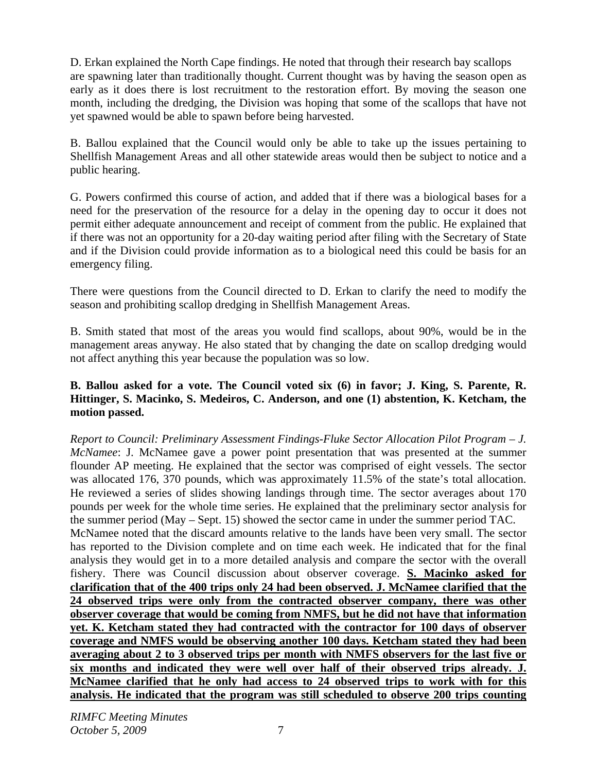D. Erkan explained the North Cape findings. He noted that through their research bay scallops are spawning later than traditionally thought. Current thought was by having the season open as early as it does there is lost recruitment to the restoration effort. By moving the season one month, including the dredging, the Division was hoping that some of the scallops that have not yet spawned would be able to spawn before being harvested.

B. Ballou explained that the Council would only be able to take up the issues pertaining to Shellfish Management Areas and all other statewide areas would then be subject to notice and a public hearing.

G. Powers confirmed this course of action, and added that if there was a biological bases for a need for the preservation of the resource for a delay in the opening day to occur it does not permit either adequate announcement and receipt of comment from the public. He explained that if there was not an opportunity for a 20-day waiting period after filing with the Secretary of State and if the Division could provide information as to a biological need this could be basis for an emergency filing.

There were questions from the Council directed to D. Erkan to clarify the need to modify the season and prohibiting scallop dredging in Shellfish Management Areas.

B. Smith stated that most of the areas you would find scallops, about 90%, would be in the management areas anyway. He also stated that by changing the date on scallop dredging would not affect anything this year because the population was so low.

### **B. Ballou asked for a vote. The Council voted six (6) in favor; J. King, S. Parente, R. Hittinger, S. Macinko, S. Medeiros, C. Anderson, and one (1) abstention, K. Ketcham, the motion passed.**

*Report to Council: Preliminary Assessment Findings-Fluke Sector Allocation Pilot Program – J. McNamee*: J. McNamee gave a power point presentation that was presented at the summer flounder AP meeting. He explained that the sector was comprised of eight vessels. The sector was allocated 176, 370 pounds, which was approximately 11.5% of the state's total allocation. He reviewed a series of slides showing landings through time. The sector averages about 170 pounds per week for the whole time series. He explained that the preliminary sector analysis for the summer period (May – Sept. 15) showed the sector came in under the summer period TAC. McNamee noted that the discard amounts relative to the lands have been very small. The sector has reported to the Division complete and on time each week. He indicated that for the final analysis they would get in to a more detailed analysis and compare the sector with the overall fishery. There was Council discussion about observer coverage. **S. Macinko asked for clarification that of the 400 trips only 24 had been observed. J. McNamee clarified that the 24 observed trips were only from the contracted observer company, there was other observer coverage that would be coming from NMFS, but he did not have that information yet. K. Ketcham stated they had contracted with the contractor for 100 days of observer coverage and NMFS would be observing another 100 days. Ketcham stated they had been averaging about 2 to 3 observed trips per month with NMFS observers for the last five or six months and indicated they were well over half of their observed trips already. J. McNamee clarified that he only had access to 24 observed trips to work with for this analysis. He indicated that the program was still scheduled to observe 200 trips counting**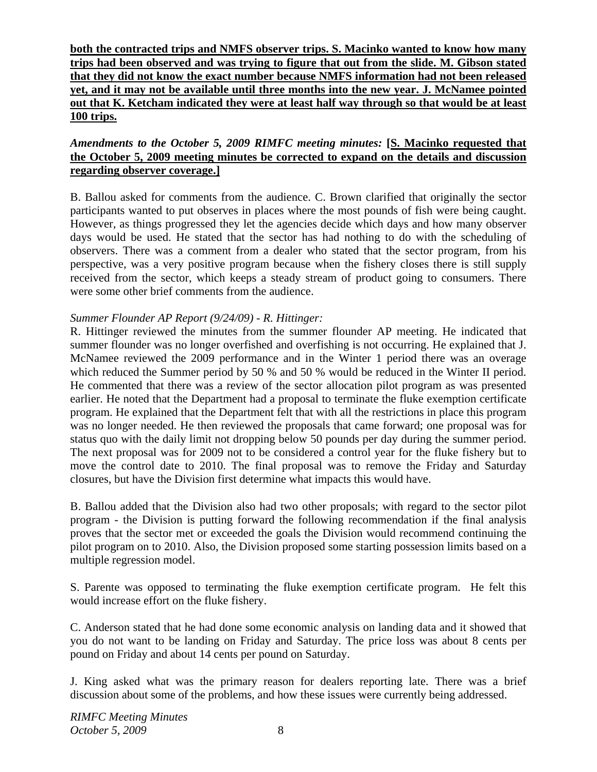**both the contracted trips and NMFS observer trips. S. Macinko wanted to know how many trips had been observed and was trying to figure that out from the slide. M. Gibson stated that they did not know the exact number because NMFS information had not been released yet, and it may not be available until three months into the new year. J. McNamee pointed out that K. Ketcham indicated they were at least half way through so that would be at least 100 trips.**

### *Amendments to the October 5, 2009 RIMFC meeting minutes:* **[S. Macinko requested that the October 5, 2009 meeting minutes be corrected to expand on the details and discussion regarding observer coverage.]**

B. Ballou asked for comments from the audience. C. Brown clarified that originally the sector participants wanted to put observes in places where the most pounds of fish were being caught. However, as things progressed they let the agencies decide which days and how many observer days would be used. He stated that the sector has had nothing to do with the scheduling of observers. There was a comment from a dealer who stated that the sector program, from his perspective, was a very positive program because when the fishery closes there is still supply received from the sector, which keeps a steady stream of product going to consumers. There were some other brief comments from the audience.

## *Summer Flounder AP Report (9/24/09) - R. Hittinger:*

R. Hittinger reviewed the minutes from the summer flounder AP meeting. He indicated that summer flounder was no longer overfished and overfishing is not occurring. He explained that J. McNamee reviewed the 2009 performance and in the Winter 1 period there was an overage which reduced the Summer period by 50 % and 50 % would be reduced in the Winter II period. He commented that there was a review of the sector allocation pilot program as was presented earlier. He noted that the Department had a proposal to terminate the fluke exemption certificate program. He explained that the Department felt that with all the restrictions in place this program was no longer needed. He then reviewed the proposals that came forward; one proposal was for status quo with the daily limit not dropping below 50 pounds per day during the summer period. The next proposal was for 2009 not to be considered a control year for the fluke fishery but to move the control date to 2010. The final proposal was to remove the Friday and Saturday closures, but have the Division first determine what impacts this would have.

B. Ballou added that the Division also had two other proposals; with regard to the sector pilot program - the Division is putting forward the following recommendation if the final analysis proves that the sector met or exceeded the goals the Division would recommend continuing the pilot program on to 2010. Also, the Division proposed some starting possession limits based on a multiple regression model.

S. Parente was opposed to terminating the fluke exemption certificate program. He felt this would increase effort on the fluke fishery.

C. Anderson stated that he had done some economic analysis on landing data and it showed that you do not want to be landing on Friday and Saturday. The price loss was about 8 cents per pound on Friday and about 14 cents per pound on Saturday.

J. King asked what was the primary reason for dealers reporting late. There was a brief discussion about some of the problems, and how these issues were currently being addressed.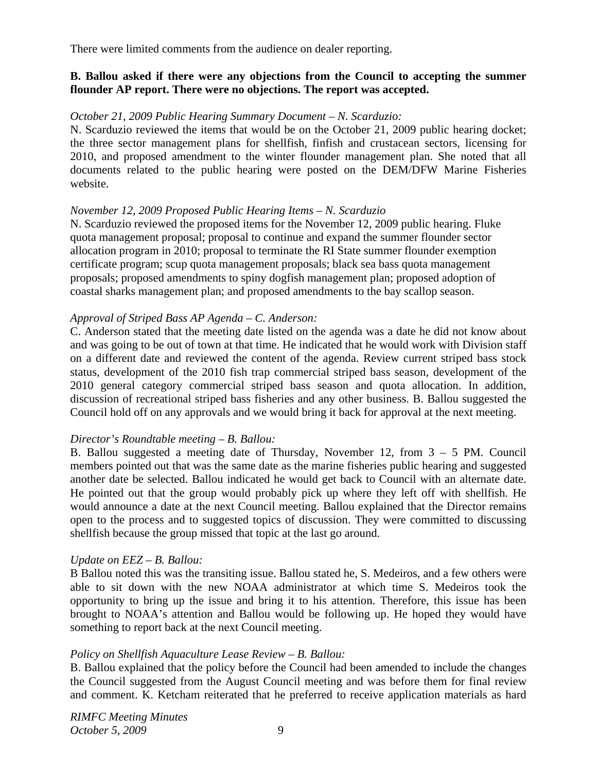There were limited comments from the audience on dealer reporting.

#### **B. Ballou asked if there were any objections from the Council to accepting the summer flounder AP report. There were no objections. The report was accepted.**

#### *October 21, 2009 Public Hearing Summary Document – N. Scarduzio:*

N. Scarduzio reviewed the items that would be on the October 21, 2009 public hearing docket; the three sector management plans for shellfish, finfish and crustacean sectors, licensing for 2010, and proposed amendment to the winter flounder management plan. She noted that all documents related to the public hearing were posted on the DEM/DFW Marine Fisheries website.

#### *November 12, 2009 Proposed Public Hearing Items – N. Scarduzio*

N. Scarduzio reviewed the proposed items for the November 12, 2009 public hearing. Fluke quota management proposal; proposal to continue and expand the summer flounder sector allocation program in 2010; proposal to terminate the RI State summer flounder exemption certificate program; scup quota management proposals; black sea bass quota management proposals; proposed amendments to spiny dogfish management plan; proposed adoption of coastal sharks management plan; and proposed amendments to the bay scallop season.

#### *Approval of Striped Bass AP Agenda – C. Anderson:*

C. Anderson stated that the meeting date listed on the agenda was a date he did not know about and was going to be out of town at that time. He indicated that he would work with Division staff on a different date and reviewed the content of the agenda. Review current striped bass stock status, development of the 2010 fish trap commercial striped bass season, development of the 2010 general category commercial striped bass season and quota allocation. In addition, discussion of recreational striped bass fisheries and any other business. B. Ballou suggested the Council hold off on any approvals and we would bring it back for approval at the next meeting.

#### *Director's Roundtable meeting – B. Ballou:*

B. Ballou suggested a meeting date of Thursday, November 12, from 3 – 5 PM. Council members pointed out that was the same date as the marine fisheries public hearing and suggested another date be selected. Ballou indicated he would get back to Council with an alternate date. He pointed out that the group would probably pick up where they left off with shellfish. He would announce a date at the next Council meeting. Ballou explained that the Director remains open to the process and to suggested topics of discussion. They were committed to discussing shellfish because the group missed that topic at the last go around.

### *Update on EEZ – B. Ballou:*

B Ballou noted this was the transiting issue. Ballou stated he, S. Medeiros, and a few others were able to sit down with the new NOAA administrator at which time S. Medeiros took the opportunity to bring up the issue and bring it to his attention. Therefore, this issue has been brought to NOAA's attention and Ballou would be following up. He hoped they would have something to report back at the next Council meeting.

#### *Policy on Shellfish Aquaculture Lease Review – B. Ballou:*

B. Ballou explained that the policy before the Council had been amended to include the changes the Council suggested from the August Council meeting and was before them for final review and comment. K. Ketcham reiterated that he preferred to receive application materials as hard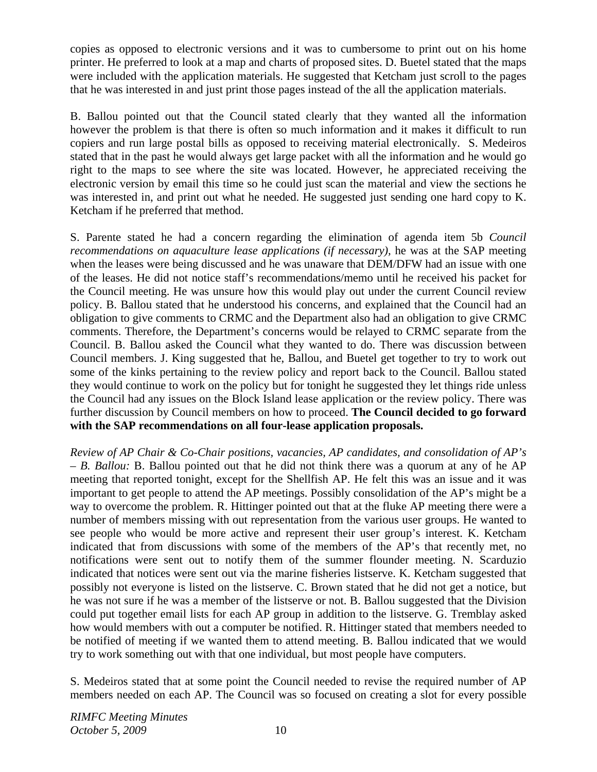copies as opposed to electronic versions and it was to cumbersome to print out on his home printer. He preferred to look at a map and charts of proposed sites. D. Buetel stated that the maps were included with the application materials. He suggested that Ketcham just scroll to the pages that he was interested in and just print those pages instead of the all the application materials.

B. Ballou pointed out that the Council stated clearly that they wanted all the information however the problem is that there is often so much information and it makes it difficult to run copiers and run large postal bills as opposed to receiving material electronically. S. Medeiros stated that in the past he would always get large packet with all the information and he would go right to the maps to see where the site was located. However, he appreciated receiving the electronic version by email this time so he could just scan the material and view the sections he was interested in, and print out what he needed. He suggested just sending one hard copy to K. Ketcham if he preferred that method.

S. Parente stated he had a concern regarding the elimination of agenda item 5b *Council recommendations on aquaculture lease applications (if necessary),* he was at the SAP meeting when the leases were being discussed and he was unaware that DEM/DFW had an issue with one of the leases. He did not notice staff's recommendations/memo until he received his packet for the Council meeting. He was unsure how this would play out under the current Council review policy. B. Ballou stated that he understood his concerns, and explained that the Council had an obligation to give comments to CRMC and the Department also had an obligation to give CRMC comments. Therefore, the Department's concerns would be relayed to CRMC separate from the Council. B. Ballou asked the Council what they wanted to do. There was discussion between Council members. J. King suggested that he, Ballou, and Buetel get together to try to work out some of the kinks pertaining to the review policy and report back to the Council. Ballou stated they would continue to work on the policy but for tonight he suggested they let things ride unless the Council had any issues on the Block Island lease application or the review policy. There was further discussion by Council members on how to proceed. **The Council decided to go forward with the SAP recommendations on all four-lease application proposals.** 

*Review of AP Chair & Co-Chair positions, vacancies, AP candidates, and consolidation of AP's – B. Ballou:* B. Ballou pointed out that he did not think there was a quorum at any of he AP meeting that reported tonight, except for the Shellfish AP. He felt this was an issue and it was important to get people to attend the AP meetings. Possibly consolidation of the AP's might be a way to overcome the problem. R. Hittinger pointed out that at the fluke AP meeting there were a number of members missing with out representation from the various user groups. He wanted to see people who would be more active and represent their user group's interest. K. Ketcham indicated that from discussions with some of the members of the AP's that recently met, no notifications were sent out to notify them of the summer flounder meeting. N. Scarduzio indicated that notices were sent out via the marine fisheries listserve. K. Ketcham suggested that possibly not everyone is listed on the listserve. C. Brown stated that he did not get a notice, but he was not sure if he was a member of the listserve or not. B. Ballou suggested that the Division could put together email lists for each AP group in addition to the listserve. G. Tremblay asked how would members with out a computer be notified. R. Hittinger stated that members needed to be notified of meeting if we wanted them to attend meeting. B. Ballou indicated that we would try to work something out with that one individual, but most people have computers.

S. Medeiros stated that at some point the Council needed to revise the required number of AP members needed on each AP. The Council was so focused on creating a slot for every possible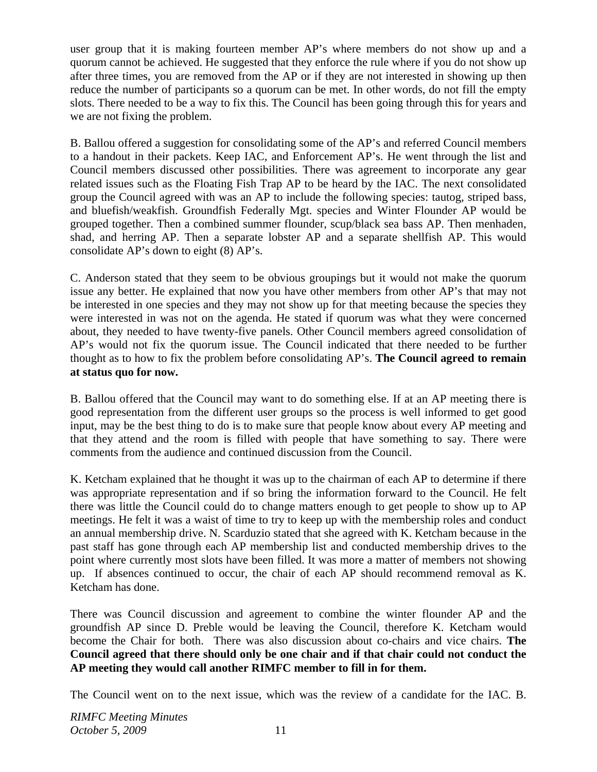user group that it is making fourteen member AP's where members do not show up and a quorum cannot be achieved. He suggested that they enforce the rule where if you do not show up after three times, you are removed from the AP or if they are not interested in showing up then reduce the number of participants so a quorum can be met. In other words, do not fill the empty slots. There needed to be a way to fix this. The Council has been going through this for years and we are not fixing the problem.

B. Ballou offered a suggestion for consolidating some of the AP's and referred Council members to a handout in their packets. Keep IAC, and Enforcement AP's. He went through the list and Council members discussed other possibilities. There was agreement to incorporate any gear related issues such as the Floating Fish Trap AP to be heard by the IAC. The next consolidated group the Council agreed with was an AP to include the following species: tautog, striped bass, and bluefish/weakfish. Groundfish Federally Mgt. species and Winter Flounder AP would be grouped together. Then a combined summer flounder, scup/black sea bass AP. Then menhaden, shad, and herring AP. Then a separate lobster AP and a separate shellfish AP. This would consolidate AP's down to eight (8) AP's.

C. Anderson stated that they seem to be obvious groupings but it would not make the quorum issue any better. He explained that now you have other members from other AP's that may not be interested in one species and they may not show up for that meeting because the species they were interested in was not on the agenda. He stated if quorum was what they were concerned about, they needed to have twenty-five panels. Other Council members agreed consolidation of AP's would not fix the quorum issue. The Council indicated that there needed to be further thought as to how to fix the problem before consolidating AP's. **The Council agreed to remain at status quo for now.** 

B. Ballou offered that the Council may want to do something else. If at an AP meeting there is good representation from the different user groups so the process is well informed to get good input, may be the best thing to do is to make sure that people know about every AP meeting and that they attend and the room is filled with people that have something to say. There were comments from the audience and continued discussion from the Council.

K. Ketcham explained that he thought it was up to the chairman of each AP to determine if there was appropriate representation and if so bring the information forward to the Council. He felt there was little the Council could do to change matters enough to get people to show up to AP meetings. He felt it was a waist of time to try to keep up with the membership roles and conduct an annual membership drive. N. Scarduzio stated that she agreed with K. Ketcham because in the past staff has gone through each AP membership list and conducted membership drives to the point where currently most slots have been filled. It was more a matter of members not showing up. If absences continued to occur, the chair of each AP should recommend removal as K. Ketcham has done.

There was Council discussion and agreement to combine the winter flounder AP and the groundfish AP since D. Preble would be leaving the Council, therefore K. Ketcham would become the Chair for both. There was also discussion about co-chairs and vice chairs. **The Council agreed that there should only be one chair and if that chair could not conduct the AP meeting they would call another RIMFC member to fill in for them.** 

The Council went on to the next issue, which was the review of a candidate for the IAC. B.